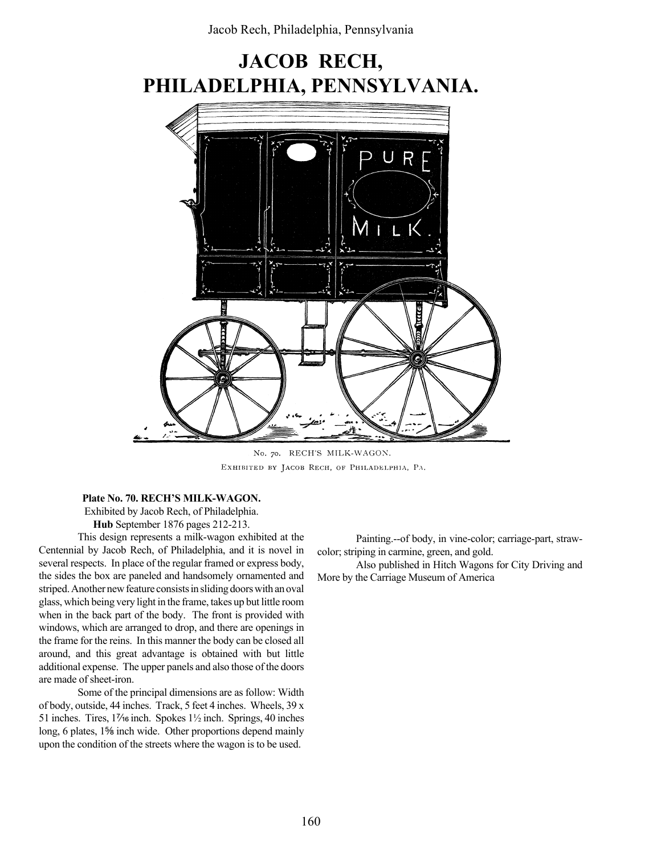## JACOB RECH, PHILADELPHIA, PENNSYLVANIA.



No. 70. RECH'S MILK-WAGON. EXHIBITED BY JACOB RECH, OF PHILADELPHIA, PA.

Plate No. 70. RECH'S MILK-WAGON.

Exhibited by Jacob Rech, of Philadelphia.

Hub September 1876 pages 212-213.

This design represents a milk-wagon exhibited at the Centennial by Jacob Rech, of Philadelphia, and it is novel in several respects. In place of the regular framed or express body, the sides the box are paneled and handsomely ornamented and striped. Another new feature consists in sliding doors with an oval glass, which being very light in the frame, takes up but little room when in the back part of the body. The front is provided with windows, which are arranged to drop, and there are openings in the frame for the reins. In this manner the body can be closed all around, and this great advantage is obtained with but little additional expense. The upper panels and also those of the doors are made of sheet-iron.

Some of the principal dimensions are as follow: Width of body, outside, 44 inches. Track, 5 feet 4 inches. Wheels, 39 x 51 inches. Tires, 11⁄<sub>16</sub> inch. Spokes 11⁄2 inch. Springs, 40 inches long, 6 plates, 1<sup>5</sup>⁄<sub>8</sub> inch wide. Other proportions depend mainly upon the condition of the streets where the wagon is to be used.

Painting.--of body, in vine-color; carriage-part, strawcolor; striping in carmine, green, and gold.

Also published in Hitch Wagons for City Driving and More by the Carriage Museum of America